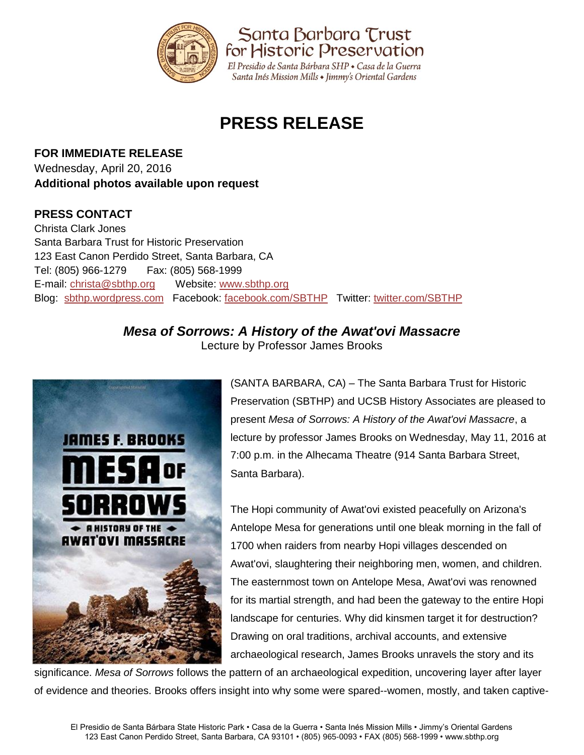

# **PRESS RELEASE**

**FOR IMMEDIATE RELEASE** Wednesday, April 20, 2016 **Additional photos available upon request**

### **PRESS CONTACT**

Christa Clark Jones Santa Barbara Trust for Historic Preservation 123 East Canon Perdido Street, Santa Barbara, CA Tel: (805) 966-1279 Fax: (805) 568-1999 E-mail: [christa@sbthp.org](mailto:christa@sbthp.org) Website: [www.sbthp.org](http://www.sbthp.org/) Blog: [sbthp.wordpress.com](http://sbthp.wordpress.com/) Facebook: [facebook.com/SBTHP](http://www.facebook.com/SBTHP) Twitter: [twitter.com/SBTHP](http://twitter.com/SBTHP)

# *Mesa of Sorrows: A History of the Awat'ovi Massacre*





(SANTA BARBARA, CA) – The Santa Barbara Trust for Historic Preservation (SBTHP) and UCSB History Associates are pleased to present *Mesa of Sorrows: A History of the Awat'ovi Massacre*, a lecture by professor James Brooks on Wednesday, May 11, 2016 at 7:00 p.m. in the Alhecama Theatre (914 Santa Barbara Street, Santa Barbara).

The Hopi community of Awat'ovi existed peacefully on Arizona's Antelope Mesa for generations until one bleak morning in the fall of 1700 when raiders from nearby Hopi villages descended on Awat'ovi, slaughtering their neighboring men, women, and children. The easternmost town on Antelope Mesa, Awat'ovi was renowned for its martial strength, and had been the gateway to the entire Hopi landscape for centuries. Why did kinsmen target it for destruction? Drawing on oral traditions, archival accounts, and extensive archaeological research, James Brooks unravels the story and its

significance. *Mesa of Sorrows* follows the pattern of an archaeological expedition, uncovering layer after layer of evidence and theories. Brooks offers insight into why some were spared--women, mostly, and taken captive-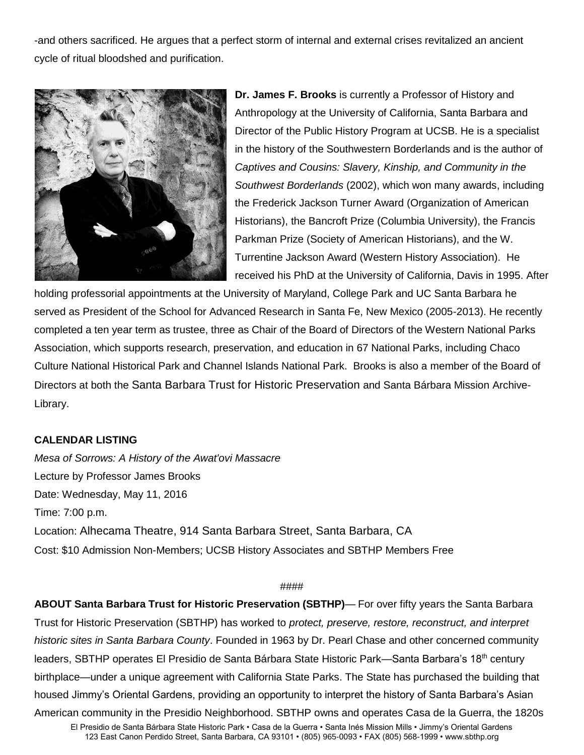-and others sacrificed. He argues that a perfect storm of internal and external crises revitalized an ancient cycle of ritual bloodshed and purification.



**Dr. James F. Brooks** is currently a Professor of History and Anthropology at the University of California, Santa Barbara and Director of the Public History Program at UCSB. He is a specialist in the history of the Southwestern Borderlands and is the author of *Captives and Cousins: Slavery, Kinship, and Community in the Southwest Borderlands* (2002), which won many awards, including the Frederick Jackson Turner Award (Organization of American Historians), the Bancroft Prize (Columbia University), the Francis Parkman Prize (Society of American Historians), and the W. Turrentine Jackson Award (Western History Association). He received his PhD at the University of California, Davis in 1995. After

holding professorial appointments at the University of Maryland, College Park and UC Santa Barbara he served as President of the School for Advanced Research in Santa Fe, New Mexico (2005-2013). He recently completed a ten year term as trustee, three as Chair of the Board of Directors of the Western National Parks Association, which supports research, preservation, and education in 67 National Parks, including Chaco Culture National Historical Park and Channel Islands National Park. Brooks is also a member of the Board of Directors at both the Santa Barbara Trust for Historic Preservation and Santa Bárbara Mission Archive-Library.

#### **CALENDAR LISTING**

*Mesa of Sorrows: A History of the Awat'ovi Massacre* Lecture by Professor James Brooks Date: Wednesday, May 11, 2016 Time: 7:00 p.m. Location: Alhecama Theatre, 914 Santa Barbara Street, Santa Barbara, CA Cost: \$10 Admission Non-Members; UCSB History Associates and SBTHP Members Free

#### ####

**ABOUT Santa Barbara Trust for Historic Preservation (SBTHP)**— For over fifty years the Santa Barbara Trust for Historic Preservation (SBTHP) has worked to *protect, preserve, restore, reconstruct, and interpret historic sites in Santa Barbara County*. Founded in 1963 by Dr. Pearl Chase and other concerned community leaders, SBTHP operates El Presidio de Santa Bárbara State Historic Park—Santa Barbara's 18<sup>th</sup> century birthplace—under a unique agreement with California State Parks. The State has purchased the building that housed Jimmy's Oriental Gardens, providing an opportunity to interpret the history of Santa Barbara's Asian American community in the Presidio Neighborhood. SBTHP owns and operates Casa de la Guerra, the 1820s